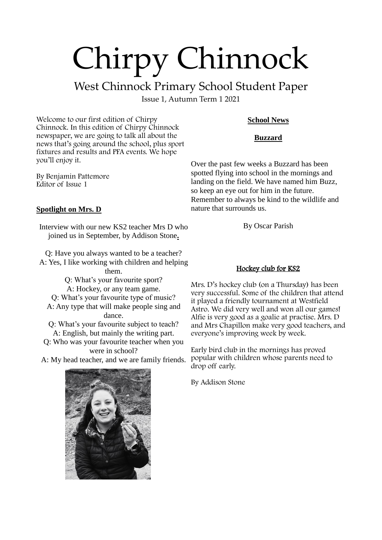# Chirpy Chinnock

## West Chinnock Primary School Student Paper

Issue 1, Autumn Term 1 2021

Welcome to our first edition of Chirpy Chinnock. In this edition of Chirpy Chinnock newspaper, we are going to talk all about the news that's going around the school, plus sport fixtures and results and PFA events. We hope you'll enjoy it.

By Benjamin Pattemore Editor of Issue 1

### **School News**

#### **Buzzard**

Over the past few weeks a Buzzard has been spotted flying into school in the mornings and landing on the field. We have named him Buzz, so keep an eye out for him in the future. Remember to always be kind to the wildlife and nature that surrounds us.

#### **Spotlight on Mrs. D**

Interview with our new KS2 teacher Mrs D who joined us in September, by Addison Stone**.**

Q: Have you always wanted to be a teacher? A: Yes, I like working with children and helping them.

Q: What's your favourite sport?

A: Hockey, or any team game.

Q: What's your favourite type of music? A: Any type that will make people sing and dance.

Q: What's your favourite subject to teach? A: English, but mainly the writing part.

Q: Who was your favourite teacher when you were in school?

A: My head teacher, and we are family friends.

#### Hockey club for KS2

By Oscar Parish

Mrs. D's hockey club (on a Thursday) has been very successful. Some of the children that attend it played a friendly tournament at Westfield Astro. We did very well and won all our games! Alfie is very good as a goalie at practise. Mrs. D and Mrs Chapillon make very good teachers, and everyone's improving week by week.

Early bird club in the mornings has proved popular with children whose parents need to drop off early.

By Addison Stone